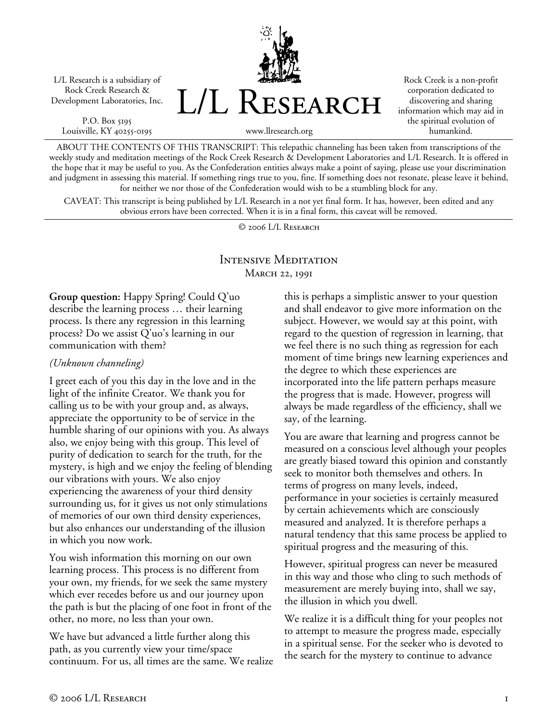L/L Research is a subsidiary of Rock Creek Research & Development Laboratories, Inc.

P.O. Box 5195 Louisville, KY 40255-0195 L/L Research

Rock Creek is a non-profit corporation dedicated to discovering and sharing information which may aid in the spiritual evolution of humankind.

www.llresearch.org

ABOUT THE CONTENTS OF THIS TRANSCRIPT: This telepathic channeling has been taken from transcriptions of the weekly study and meditation meetings of the Rock Creek Research & Development Laboratories and L/L Research. It is offered in the hope that it may be useful to you. As the Confederation entities always make a point of saying, please use your discrimination and judgment in assessing this material. If something rings true to you, fine. If something does not resonate, please leave it behind, for neither we nor those of the Confederation would wish to be a stumbling block for any.

CAVEAT: This transcript is being published by L/L Research in a not yet final form. It has, however, been edited and any obvious errors have been corrected. When it is in a final form, this caveat will be removed.

© 2006 L/L Research

# Intensive Meditation March 22, 1991

**Group question:** Happy Spring! Could Q'uo describe the learning process … their learning process. Is there any regression in this learning process? Do we assist Q'uo's learning in our communication with them?

### *(Unknown channeling)*

I greet each of you this day in the love and in the light of the infinite Creator. We thank you for calling us to be with your group and, as always, appreciate the opportunity to be of service in the humble sharing of our opinions with you. As always also, we enjoy being with this group. This level of purity of dedication to search for the truth, for the mystery, is high and we enjoy the feeling of blending our vibrations with yours. We also enjoy experiencing the awareness of your third density surrounding us, for it gives us not only stimulations of memories of our own third density experiences, but also enhances our understanding of the illusion in which you now work.

You wish information this morning on our own learning process. This process is no different from your own, my friends, for we seek the same mystery which ever recedes before us and our journey upon the path is but the placing of one foot in front of the other, no more, no less than your own.

We have but advanced a little further along this path, as you currently view your time/space continuum. For us, all times are the same. We realize this is perhaps a simplistic answer to your question and shall endeavor to give more information on the subject. However, we would say at this point, with regard to the question of regression in learning, that we feel there is no such thing as regression for each moment of time brings new learning experiences and the degree to which these experiences are incorporated into the life pattern perhaps measure the progress that is made. However, progress will always be made regardless of the efficiency, shall we say, of the learning.

You are aware that learning and progress cannot be measured on a conscious level although your peoples are greatly biased toward this opinion and constantly seek to monitor both themselves and others. In terms of progress on many levels, indeed, performance in your societies is certainly measured by certain achievements which are consciously measured and analyzed. It is therefore perhaps a natural tendency that this same process be applied to spiritual progress and the measuring of this.

However, spiritual progress can never be measured in this way and those who cling to such methods of measurement are merely buying into, shall we say, the illusion in which you dwell.

We realize it is a difficult thing for your peoples not to attempt to measure the progress made, especially in a spiritual sense. For the seeker who is devoted to the search for the mystery to continue to advance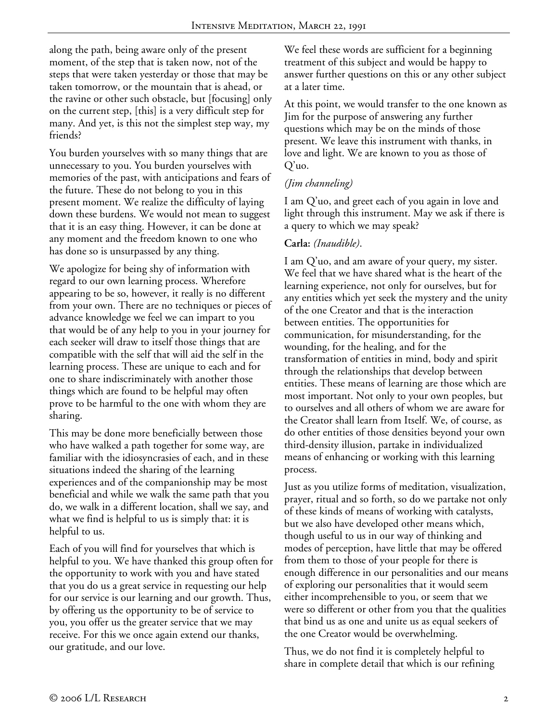along the path, being aware only of the present moment, of the step that is taken now, not of the steps that were taken yesterday or those that may be taken tomorrow, or the mountain that is ahead, or the ravine or other such obstacle, but [focusing] only on the current step, [this] is a very difficult step for many. And yet, is this not the simplest step way, my friends?

You burden yourselves with so many things that are unnecessary to you. You burden yourselves with memories of the past, with anticipations and fears of the future. These do not belong to you in this present moment. We realize the difficulty of laying down these burdens. We would not mean to suggest that it is an easy thing. However, it can be done at any moment and the freedom known to one who has done so is unsurpassed by any thing.

We apologize for being shy of information with regard to our own learning process. Wherefore appearing to be so, however, it really is no different from your own. There are no techniques or pieces of advance knowledge we feel we can impart to you that would be of any help to you in your journey for each seeker will draw to itself those things that are compatible with the self that will aid the self in the learning process. These are unique to each and for one to share indiscriminately with another those things which are found to be helpful may often prove to be harmful to the one with whom they are sharing.

This may be done more beneficially between those who have walked a path together for some way, are familiar with the idiosyncrasies of each, and in these situations indeed the sharing of the learning experiences and of the companionship may be most beneficial and while we walk the same path that you do, we walk in a different location, shall we say, and what we find is helpful to us is simply that: it is helpful to us.

Each of you will find for yourselves that which is helpful to you. We have thanked this group often for the opportunity to work with you and have stated that you do us a great service in requesting our help for our service is our learning and our growth. Thus, by offering us the opportunity to be of service to you, you offer us the greater service that we may receive. For this we once again extend our thanks, our gratitude, and our love.

We feel these words are sufficient for a beginning treatment of this subject and would be happy to answer further questions on this or any other subject at a later time.

At this point, we would transfer to the one known as Jim for the purpose of answering any further questions which may be on the minds of those present. We leave this instrument with thanks, in love and light. We are known to you as those of Q'uo.

# *(Jim channeling)*

I am Q'uo, and greet each of you again in love and light through this instrument. May we ask if there is a query to which we may speak?

## **Carla:** *(Inaudible)*.

I am Q'uo, and am aware of your query, my sister. We feel that we have shared what is the heart of the learning experience, not only for ourselves, but for any entities which yet seek the mystery and the unity of the one Creator and that is the interaction between entities. The opportunities for communication, for misunderstanding, for the wounding, for the healing, and for the transformation of entities in mind, body and spirit through the relationships that develop between entities. These means of learning are those which are most important. Not only to your own peoples, but to ourselves and all others of whom we are aware for the Creator shall learn from Itself. We, of course, as do other entities of those densities beyond your own third-density illusion, partake in individualized means of enhancing or working with this learning process.

Just as you utilize forms of meditation, visualization, prayer, ritual and so forth, so do we partake not only of these kinds of means of working with catalysts, but we also have developed other means which, though useful to us in our way of thinking and modes of perception, have little that may be offered from them to those of your people for there is enough difference in our personalities and our means of exploring our personalities that it would seem either incomprehensible to you, or seem that we were so different or other from you that the qualities that bind us as one and unite us as equal seekers of the one Creator would be overwhelming.

Thus, we do not find it is completely helpful to share in complete detail that which is our refining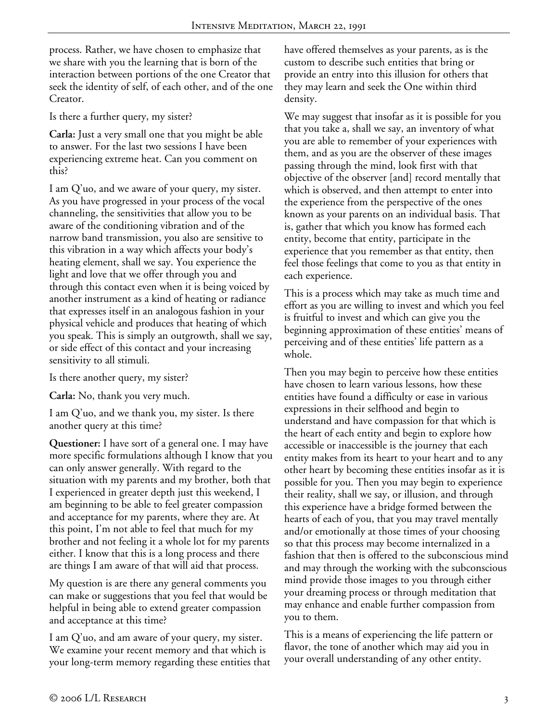process. Rather, we have chosen to emphasize that we share with you the learning that is born of the interaction between portions of the one Creator that seek the identity of self, of each other, and of the one Creator.

Is there a further query, my sister?

**Carla:** Just a very small one that you might be able to answer. For the last two sessions I have been experiencing extreme heat. Can you comment on this?

I am Q'uo, and we aware of your query, my sister. As you have progressed in your process of the vocal channeling, the sensitivities that allow you to be aware of the conditioning vibration and of the narrow band transmission, you also are sensitive to this vibration in a way which affects your body's heating element, shall we say. You experience the light and love that we offer through you and through this contact even when it is being voiced by another instrument as a kind of heating or radiance that expresses itself in an analogous fashion in your physical vehicle and produces that heating of which you speak. This is simply an outgrowth, shall we say, or side effect of this contact and your increasing sensitivity to all stimuli.

Is there another query, my sister?

**Carla:** No, thank you very much.

I am Q'uo, and we thank you, my sister. Is there another query at this time?

**Questioner:** I have sort of a general one. I may have more specific formulations although I know that you can only answer generally. With regard to the situation with my parents and my brother, both that I experienced in greater depth just this weekend, I am beginning to be able to feel greater compassion and acceptance for my parents, where they are. At this point, I'm not able to feel that much for my brother and not feeling it a whole lot for my parents either. I know that this is a long process and there are things I am aware of that will aid that process.

My question is are there any general comments you can make or suggestions that you feel that would be helpful in being able to extend greater compassion and acceptance at this time?

I am Q'uo, and am aware of your query, my sister. We examine your recent memory and that which is your long-term memory regarding these entities that have offered themselves as your parents, as is the custom to describe such entities that bring or provide an entry into this illusion for others that they may learn and seek the One within third density.

We may suggest that insofar as it is possible for you that you take a, shall we say, an inventory of what you are able to remember of your experiences with them, and as you are the observer of these images passing through the mind, look first with that objective of the observer [and] record mentally that which is observed, and then attempt to enter into the experience from the perspective of the ones known as your parents on an individual basis. That is, gather that which you know has formed each entity, become that entity, participate in the experience that you remember as that entity, then feel those feelings that come to you as that entity in each experience.

This is a process which may take as much time and effort as you are willing to invest and which you feel is fruitful to invest and which can give you the beginning approximation of these entities' means of perceiving and of these entities' life pattern as a whole.

Then you may begin to perceive how these entities have chosen to learn various lessons, how these entities have found a difficulty or ease in various expressions in their selfhood and begin to understand and have compassion for that which is the heart of each entity and begin to explore how accessible or inaccessible is the journey that each entity makes from its heart to your heart and to any other heart by becoming these entities insofar as it is possible for you. Then you may begin to experience their reality, shall we say, or illusion, and through this experience have a bridge formed between the hearts of each of you, that you may travel mentally and/or emotionally at those times of your choosing so that this process may become internalized in a fashion that then is offered to the subconscious mind and may through the working with the subconscious mind provide those images to you through either your dreaming process or through meditation that may enhance and enable further compassion from you to them.

This is a means of experiencing the life pattern or flavor, the tone of another which may aid you in your overall understanding of any other entity.